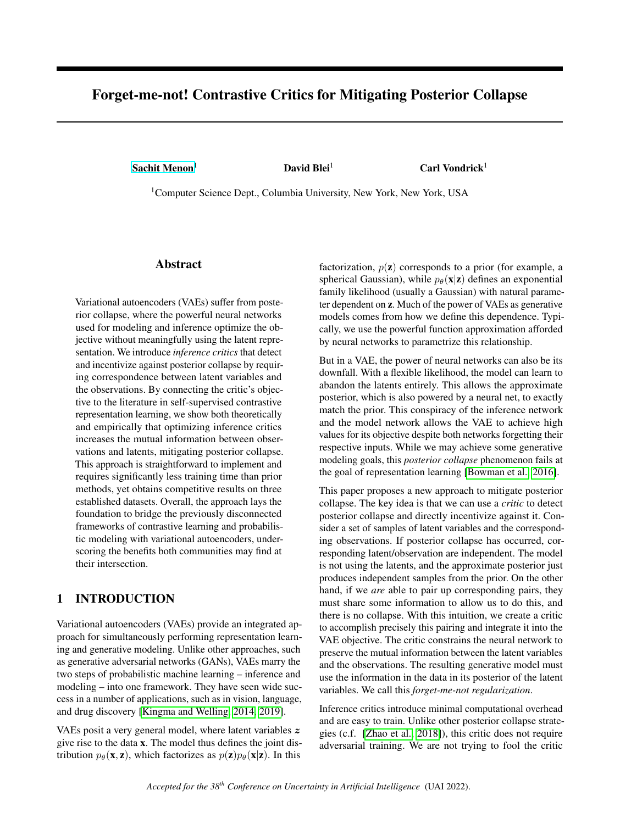# <span id="page-0-0"></span>Forget-me-not! Contrastive Critics for Mitigating Posterior Collapse

[Sachit Menon](mailto:<sachit.menon@columbia.edu>?Subject=Your UAI 2022 paper)<sup>1</sup> David Blei<sup>1</sup> Carl Vondrick<sup>1</sup>

<sup>1</sup>Computer Science Dept., Columbia University, New York, New York, USA

### Abstract

Variational autoencoders (VAEs) suffer from posterior collapse, where the powerful neural networks used for modeling and inference optimize the objective without meaningfully using the latent representation. We introduce *inference critics* that detect and incentivize against posterior collapse by requiring correspondence between latent variables and the observations. By connecting the critic's objective to the literature in self-supervised contrastive representation learning, we show both theoretically and empirically that optimizing inference critics increases the mutual information between observations and latents, mitigating posterior collapse. This approach is straightforward to implement and requires significantly less training time than prior methods, yet obtains competitive results on three established datasets. Overall, the approach lays the foundation to bridge the previously disconnected frameworks of contrastive learning and probabilistic modeling with variational autoencoders, underscoring the benefits both communities may find at their intersection.

# 1 INTRODUCTION

Variational autoencoders (VAEs) provide an integrated approach for simultaneously performing representation learning and generative modeling. Unlike other approaches, such as generative adversarial networks (GANs), VAEs marry the two steps of probabilistic machine learning – inference and modeling – into one framework. They have seen wide success in a number of applications, such as in vision, language, and drug discovery [\[Kingma and Welling, 2014,](#page-8-0) [2019\]](#page-9-0).

VAEs posit a very general model, where latent variables z give rise to the data x. The model thus defines the joint distribution  $p_{\theta}(\mathbf{x}, \mathbf{z})$ , which factorizes as  $p(\mathbf{z})p_{\theta}(\mathbf{x}|\mathbf{z})$ . In this

factorization,  $p(z)$  corresponds to a prior (for example, a spherical Gaussian), while  $p_{\theta}(\mathbf{x}|\mathbf{z})$  defines an exponential family likelihood (usually a Gaussian) with natural parameter dependent on z. Much of the power of VAEs as generative models comes from how we define this dependence. Typically, we use the powerful function approximation afforded by neural networks to parametrize this relationship.

But in a VAE, the power of neural networks can also be its downfall. With a flexible likelihood, the model can learn to abandon the latents entirely. This allows the approximate posterior, which is also powered by a neural net, to exactly match the prior. This conspiracy of the inference network and the model network allows the VAE to achieve high values for its objective despite both networks forgetting their respective inputs. While we may achieve some generative modeling goals, this *posterior collapse* phenomenon fails at the goal of representation learning [\[Bowman et al., 2016\]](#page-8-1).

This paper proposes a new approach to mitigate posterior collapse. The key idea is that we can use a *critic* to detect posterior collapse and directly incentivize against it. Consider a set of samples of latent variables and the corresponding observations. If posterior collapse has occurred, corresponding latent/observation are independent. The model is not using the latents, and the approximate posterior just produces independent samples from the prior. On the other hand, if we *are* able to pair up corresponding pairs, they must share some information to allow us to do this, and there is no collapse. With this intuition, we create a critic to accomplish precisely this pairing and integrate it into the VAE objective. The critic constrains the neural network to preserve the mutual information between the latent variables and the observations. The resulting generative model must use the information in the data in its posterior of the latent variables. We call this *forget-me-not regularization*.

Inference critics introduce minimal computational overhead and are easy to train. Unlike other posterior collapse strategies (c.f. [\[Zhao et al., 2018\]](#page-10-0)), this critic does not require adversarial training. We are not trying to fool the critic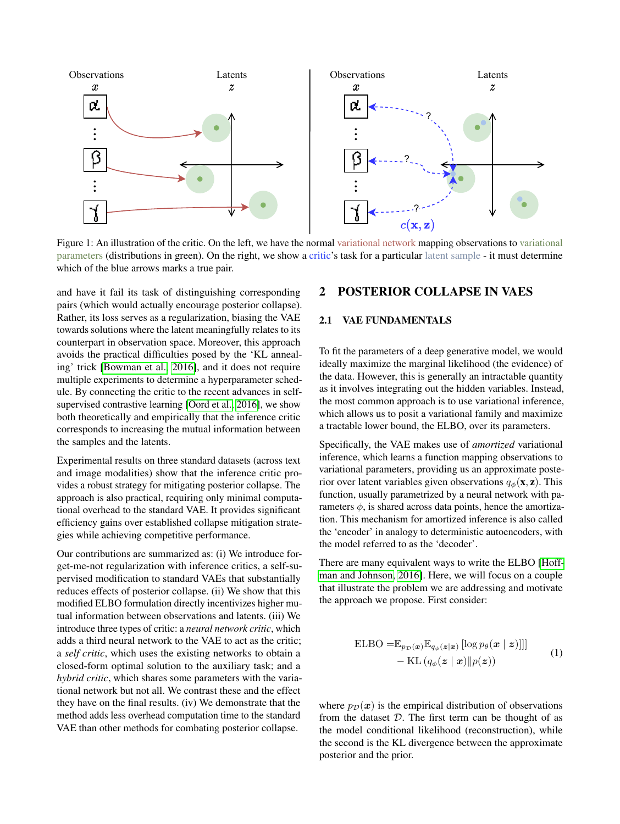

Figure 1: An illustration of the critic. On the left, we have the normal variational network mapping observations to variational parameters (distributions in green). On the right, we show a critic's task for a particular latent sample - it must determine which of the blue arrows marks a true pair.

and have it fail its task of distinguishing corresponding pairs (which would actually encourage posterior collapse). Rather, its loss serves as a regularization, biasing the VAE towards solutions where the latent meaningfully relates to its counterpart in observation space. Moreover, this approach avoids the practical difficulties posed by the 'KL annealing' trick [\[Bowman et al., 2016\]](#page-8-1), and it does not require multiple experiments to determine a hyperparameter schedule. By connecting the critic to the recent advances in selfsupervised contrastive learning [\[Oord et al., 2016\]](#page-9-1), we show both theoretically and empirically that the inference critic corresponds to increasing the mutual information between the samples and the latents.

Experimental results on three standard datasets (across text and image modalities) show that the inference critic provides a robust strategy for mitigating posterior collapse. The approach is also practical, requiring only minimal computational overhead to the standard VAE. It provides significant efficiency gains over established collapse mitigation strategies while achieving competitive performance.

Our contributions are summarized as: (i) We introduce forget-me-not regularization with inference critics, a self-supervised modification to standard VAEs that substantially reduces effects of posterior collapse. (ii) We show that this modified ELBO formulation directly incentivizes higher mutual information between observations and latents. (iii) We introduce three types of critic: a *neural network critic*, which adds a third neural network to the VAE to act as the critic; a *self critic*, which uses the existing networks to obtain a closed-form optimal solution to the auxiliary task; and a *hybrid critic*, which shares some parameters with the variational network but not all. We contrast these and the effect they have on the final results. (iv) We demonstrate that the method adds less overhead computation time to the standard VAE than other methods for combating posterior collapse.

# 2 POSTERIOR COLLAPSE IN VAES

### 2.1 VAE FUNDAMENTALS

To fit the parameters of a deep generative model, we would ideally maximize the marginal likelihood (the evidence) of the data. However, this is generally an intractable quantity as it involves integrating out the hidden variables. Instead, the most common approach is to use variational inference, which allows us to posit a variational family and maximize a tractable lower bound, the ELBO, over its parameters.

Specifically, the VAE makes use of *amortized* variational inference, which learns a function mapping observations to variational parameters, providing us an approximate posterior over latent variables given observations  $q_{\phi}(\mathbf{x}, \mathbf{z})$ . This function, usually parametrized by a neural network with parameters  $\phi$ , is shared across data points, hence the amortization. This mechanism for amortized inference is also called the 'encoder' in analogy to deterministic autoencoders, with the model referred to as the 'decoder'.

There are many equivalent ways to write the ELBO [\[Hoff](#page-8-2)[man and Johnson, 2016\]](#page-8-2). Here, we will focus on a couple that illustrate the problem we are addressing and motivate the approach we propose. First consider:

<span id="page-1-0"></span>
$$
\begin{aligned} \text{ELBO} = & \mathbb{E}_{p_{\mathcal{D}}(\boldsymbol{x})} \mathbb{E}_{q_{\phi}(\boldsymbol{z}|\boldsymbol{x})} \left[ \log p_{\theta}(\boldsymbol{x} \mid \boldsymbol{z}) \right] || \\ & - \text{KL} \left( q_{\phi}(\boldsymbol{z} \mid \boldsymbol{x}) || p(\boldsymbol{z}) \right) \end{aligned} \tag{1}
$$

where  $p_{\mathcal{D}}(x)$  is the empirical distribution of observations from the dataset  $D$ . The first term can be thought of as the model conditional likelihood (reconstruction), while the second is the KL divergence between the approximate posterior and the prior.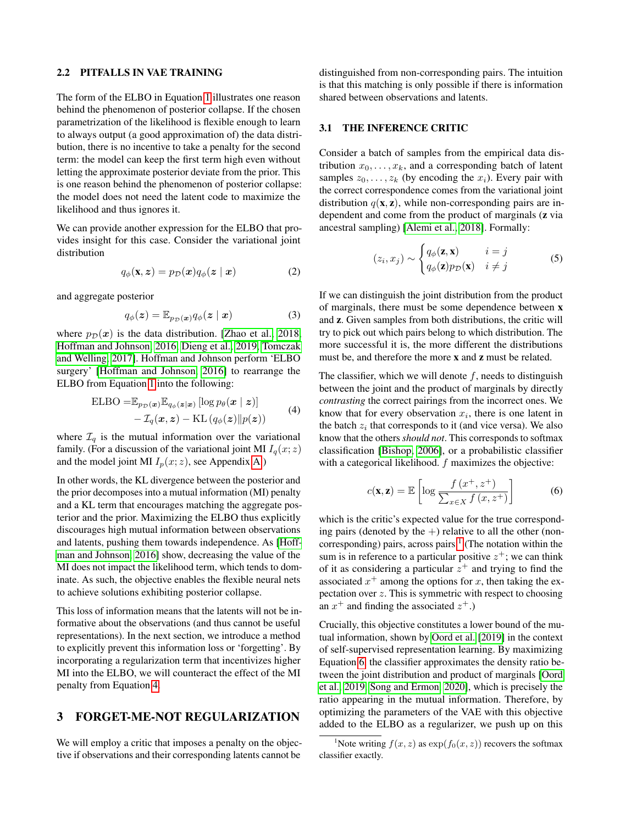#### 2.2 PITFALLS IN VAE TRAINING

The form of the ELBO in Equation [1](#page-1-0) illustrates one reason behind the phenomenon of posterior collapse. If the chosen parametrization of the likelihood is flexible enough to learn to always output (a good approximation of) the data distribution, there is no incentive to take a penalty for the second term: the model can keep the first term high even without letting the approximate posterior deviate from the prior. This is one reason behind the phenomenon of posterior collapse: the model does not need the latent code to maximize the likelihood and thus ignores it.

We can provide another expression for the ELBO that provides insight for this case. Consider the variational joint distribution

$$
q_{\phi}(\mathbf{x}, \mathbf{z}) = p_{\mathcal{D}}(\mathbf{x}) q_{\phi}(\mathbf{z} \mid \mathbf{x}) \tag{2}
$$

and aggregate posterior

$$
q_{\phi}(\boldsymbol{z}) = \mathbb{E}_{p_{\mathcal{D}}(\boldsymbol{x})} q_{\phi}(\boldsymbol{z} \mid \boldsymbol{x}) \tag{3}
$$

where  $p_{\mathcal{D}}(x)$  is the data distribution. [\[Zhao et al., 2018,](#page-10-0) [Hoffman and Johnson, 2016,](#page-8-2) [Dieng et al., 2019,](#page-8-3) [Tomczak](#page-9-2) [and Welling, 2017\]](#page-9-2). Hoffman and Johnson perform 'ELBO surgery' [\[Hoffman and Johnson, 2016\]](#page-8-2) to rearrange the ELBO from Equation [1](#page-1-0) into the following:

ELBO = 
$$
\mathbb{E}_{p_{\mathcal{D}}(\boldsymbol{x})} \mathbb{E}_{q_{\phi}(\boldsymbol{z}|\boldsymbol{x})} [\log p_{\theta}(\boldsymbol{x} \mid \boldsymbol{z})]
$$
  
-  $\mathcal{I}_q(\boldsymbol{x}, \boldsymbol{z}) - \text{KL}(q_{\phi}(\boldsymbol{z}) || p(\boldsymbol{z}))$  (4)

where  $\mathcal{I}_q$  is the mutual information over the variational family. (For a discussion of the variational joint MI  $I_q(x; z)$ and the model joint MI  $I_p(x; z)$ , see Appendix [A.](#page-0-0))

In other words, the KL divergence between the posterior and the prior decomposes into a mutual information (MI) penalty and a KL term that encourages matching the aggregate posterior and the prior. Maximizing the ELBO thus explicitly discourages high mutual information between observations and latents, pushing them towards independence. As [\[Hoff](#page-8-2)[man and Johnson, 2016\]](#page-8-2) show, decreasing the value of the MI does not impact the likelihood term, which tends to dominate. As such, the objective enables the flexible neural nets to achieve solutions exhibiting posterior collapse.

This loss of information means that the latents will not be informative about the observations (and thus cannot be useful representations). In the next section, we introduce a method to explicitly prevent this information loss or 'forgetting'. By incorporating a regularization term that incentivizes higher MI into the ELBO, we will counteract the effect of the MI penalty from Equation [4.](#page-2-0)

### 3 FORGET-ME-NOT REGULARIZATION

We will employ a critic that imposes a penalty on the objective if observations and their corresponding latents cannot be

distinguished from non-corresponding pairs. The intuition is that this matching is only possible if there is information shared between observations and latents.

#### 3.1 THE INFERENCE CRITIC

Consider a batch of samples from the empirical data distribution  $x_0, \ldots, x_k$ , and a corresponding batch of latent samples  $z_0, \ldots, z_k$  (by encoding the  $x_i$ ). Every pair with the correct correspondence comes from the variational joint distribution  $q(\mathbf{x}, \mathbf{z})$ , while non-corresponding pairs are independent and come from the product of marginals (z via ancestral sampling) [\[Alemi et al., 2018\]](#page-8-4). Formally:

$$
(z_i, x_j) \sim \begin{cases} q_{\phi}(\mathbf{z}, \mathbf{x}) & i = j \\ q_{\phi}(\mathbf{z}) p_{\mathcal{D}}(\mathbf{x}) & i \neq j \end{cases}
$$
 (5)

If we can distinguish the joint distribution from the product of marginals, there must be some dependence between x and z. Given samples from both distributions, the critic will try to pick out which pairs belong to which distribution. The more successful it is, the more different the distributions must be, and therefore the more x and z must be related.

<span id="page-2-0"></span>The classifier, which we will denote  $f$ , needs to distinguish between the joint and the product of marginals by directly *contrasting* the correct pairings from the incorrect ones. We know that for every observation  $x_i$ , there is one latent in the batch  $z_i$  that corresponds to it (and vice versa). We also know that the others *should not*. This corresponds to softmax classification [\[Bishop, 2006\]](#page-8-5), or a probabilistic classifier with a categorical likelihood.  $f$  maximizes the objective:

<span id="page-2-2"></span>
$$
c(\mathbf{x}, \mathbf{z}) = \mathbb{E}\left[\log \frac{f\left(x^{+}, z^{+}\right)}{\sum_{x \in X} f\left(x, z^{+}\right)}\right]
$$
(6)

which is the critic's expected value for the true corresponding pairs (denoted by the  $+)$  relative to all the other (non-corresponding) pairs, across pairs.<sup>[1](#page-2-1)</sup> (The notation within the sum is in reference to a particular positive  $z^+$ ; we can think of it as considering a particular  $z^+$  and trying to find the associated  $x^+$  among the options for x, then taking the expectation over  $z$ . This is symmetric with respect to choosing an  $x^+$  and finding the associated  $z^+$ .)

Crucially, this objective constitutes a lower bound of the mutual information, shown by [Oord et al.](#page-9-3) [\[2019\]](#page-9-3) in the context of self-supervised representation learning. By maximizing Equation [6,](#page-2-2) the classifier approximates the density ratio between the joint distribution and product of marginals [\[Oord](#page-9-3) [et al., 2019,](#page-9-3) [Song and Ermon, 2020\]](#page-9-4), which is precisely the ratio appearing in the mutual information. Therefore, by optimizing the parameters of the VAE with this objective added to the ELBO as a regularizer, we push up on this

<span id="page-2-1"></span><sup>&</sup>lt;sup>1</sup>Note writing  $f(x, z)$  as  $\exp(f_0(x, z))$  recovers the softmax classifier exactly.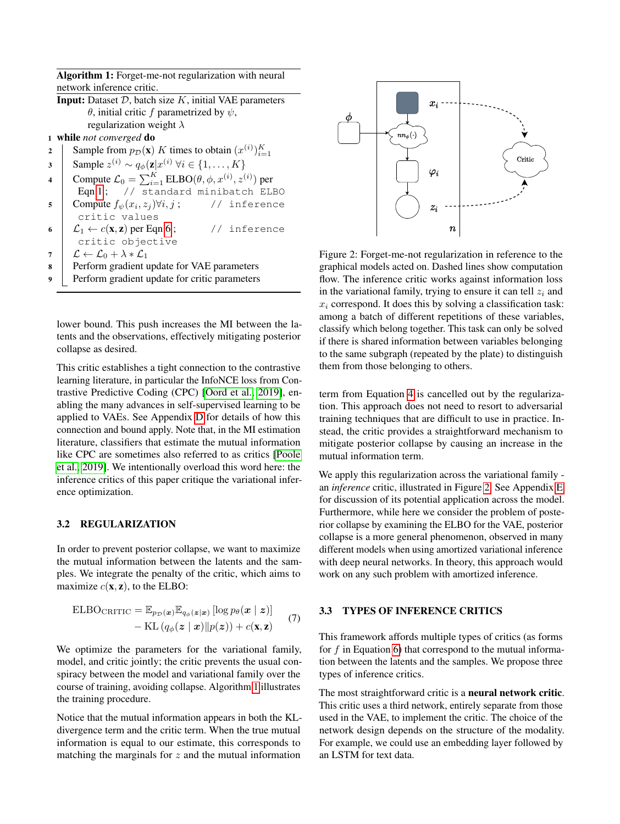Algorithm 1: Forget-me-not regularization with neural network inference critic.

|   | network mierchee critic.                                                               |  |  |  |  |  |  |
|---|----------------------------------------------------------------------------------------|--|--|--|--|--|--|
|   | <b>Input:</b> Dataset $D$ , batch size $K$ , initial VAE parameters                    |  |  |  |  |  |  |
|   | $\theta$ , initial critic f parametrized by $\psi$ ,                                   |  |  |  |  |  |  |
|   | regularization weight $\lambda$                                                        |  |  |  |  |  |  |
|   | 1 while not converged do                                                               |  |  |  |  |  |  |
| 2 | Sample from $p_{\mathcal{D}}(\mathbf{x})$ K times to obtain $(x^{(i)})_{i=1}^K$        |  |  |  |  |  |  |
| 3 | Sample $z^{(i)} \sim q_{\phi}(\mathbf{z} x^{(i)} \forall i \in \{1, , K\})$            |  |  |  |  |  |  |
| 4 | Compute $\mathcal{L}_0 = \sum_{i=1}^K \text{ELBO}(\theta, \phi, x^{(i)}, z^{(i)})$ per |  |  |  |  |  |  |
|   | Eqn 1; // standard minibatch ELBO                                                      |  |  |  |  |  |  |
| 5 | Compute $f_{\psi}(x_i, z_i) \forall i, j$ ;<br>// inference                            |  |  |  |  |  |  |
|   | critic values                                                                          |  |  |  |  |  |  |
| 6 | $\mathcal{L}_1 \leftarrow c(\mathbf{x}, \mathbf{z})$ per Eqn 6;<br>// inference        |  |  |  |  |  |  |
|   | critic objective                                                                       |  |  |  |  |  |  |
| 7 | $\mathcal{L} \leftarrow \mathcal{L}_0 + \lambda * \mathcal{L}_1$                       |  |  |  |  |  |  |
| 8 | Perform gradient update for VAE parameters                                             |  |  |  |  |  |  |
| 9 | Perform gradient update for critic parameters                                          |  |  |  |  |  |  |

<span id="page-3-0"></span>lower bound. This push increases the MI between the latents and the observations, effectively mitigating posterior collapse as desired.

This critic establishes a tight connection to the contrastive learning literature, in particular the InfoNCE loss from Contrastive Predictive Coding (CPC) [\[Oord et al., 2019\]](#page-9-3), enabling the many advances in self-supervised learning to be applied to VAEs. See Appendix [D](#page-0-0) for details of how this connection and bound apply. Note that, in the MI estimation literature, classifiers that estimate the mutual information like CPC are sometimes also referred to as critics [\[Poole](#page-9-5) [et al., 2019\]](#page-9-5). We intentionally overload this word here: the inference critics of this paper critique the variational inference optimization.

#### 3.2 REGULARIZATION

In order to prevent posterior collapse, we want to maximize the mutual information between the latents and the samples. We integrate the penalty of the critic, which aims to maximize  $c(\mathbf{x}, \mathbf{z})$ , to the ELBO:

$$
\begin{aligned} \text{ELBO}_{\text{CRITIC}} &= \mathbb{E}_{p_{\mathcal{D}}(\boldsymbol{x})} \mathbb{E}_{q_{\phi}(\boldsymbol{z}|\boldsymbol{x})} \left[ \log p_{\theta}(\boldsymbol{x} \mid \boldsymbol{z}) \right] \\ &- \text{KL}\left( q_{\phi}(\boldsymbol{z} \mid \boldsymbol{x}) \| p(\boldsymbol{z}) \right) + c(\mathbf{x}, \mathbf{z}) \end{aligned} \tag{7}
$$

We optimize the parameters for the variational family, model, and critic jointly; the critic prevents the usual conspiracy between the model and variational family over the course of training, avoiding collapse. Algorithm [1](#page-3-0) illustrates the training procedure.

Notice that the mutual information appears in both the KLdivergence term and the critic term. When the true mutual information is equal to our estimate, this corresponds to matching the marginals for  $z$  and the mutual information

<span id="page-3-1"></span>

Figure 2: Forget-me-not regularization in reference to the graphical models acted on. Dashed lines show computation flow. The inference critic works against information loss in the variational family, trying to ensure it can tell  $z_i$  and  $x_i$  correspond. It does this by solving a classification task: among a batch of different repetitions of these variables, classify which belong together. This task can only be solved if there is shared information between variables belonging to the same subgraph (repeated by the plate) to distinguish them from those belonging to others.

term from Equation [4](#page-2-0) is cancelled out by the regularization. This approach does not need to resort to adversarial training techniques that are difficult to use in practice. Instead, the critic provides a straightforward mechanism to mitigate posterior collapse by causing an increase in the mutual information term.

We apply this regularization across the variational family an *inference* critic, illustrated in Figure [2.](#page-3-1) See Appendix [E](#page-0-0) for discussion of its potential application across the model. Furthermore, while here we consider the problem of posterior collapse by examining the ELBO for the VAE, posterior collapse is a more general phenomenon, observed in many different models when using amortized variational inference with deep neural networks. In theory, this approach would work on any such problem with amortized inference.

### 3.3 TYPES OF INFERENCE CRITICS

This framework affords multiple types of critics (as forms for  $f$  in Equation [6\)](#page-2-2) that correspond to the mutual information between the latents and the samples. We propose three types of inference critics.

The most straightforward critic is a neural network critic. This critic uses a third network, entirely separate from those used in the VAE, to implement the critic. The choice of the network design depends on the structure of the modality. For example, we could use an embedding layer followed by an LSTM for text data.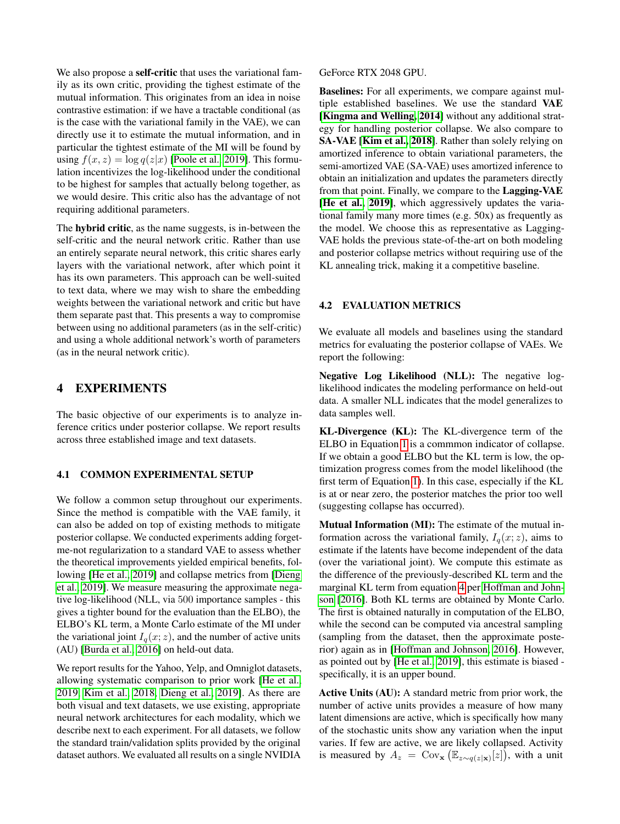We also propose a **self-critic** that uses the variational family as its own critic, providing the tighest estimate of the mutual information. This originates from an idea in noise contrastive estimation: if we have a tractable conditional (as is the case with the variational family in the VAE), we can directly use it to estimate the mutual information, and in particular the tightest estimate of the MI will be found by using  $f(x, z) = \log q(z|x)$  [\[Poole et al., 2019\]](#page-9-5). This formulation incentivizes the log-likelihood under the conditional to be highest for samples that actually belong together, as we would desire. This critic also has the advantage of not requiring additional parameters.

The hybrid critic, as the name suggests, is in-between the self-critic and the neural network critic. Rather than use an entirely separate neural network, this critic shares early layers with the variational network, after which point it has its own parameters. This approach can be well-suited to text data, where we may wish to share the embedding weights between the variational network and critic but have them separate past that. This presents a way to compromise between using no additional parameters (as in the self-critic) and using a whole additional network's worth of parameters (as in the neural network critic).

# 4 EXPERIMENTS

The basic objective of our experiments is to analyze inference critics under posterior collapse. We report results across three established image and text datasets.

#### 4.1 COMMON EXPERIMENTAL SETUP

We follow a common setup throughout our experiments. Since the method is compatible with the VAE family, it can also be added on top of existing methods to mitigate posterior collapse. We conducted experiments adding forgetme-not regularization to a standard VAE to assess whether the theoretical improvements yielded empirical benefits, following [\[He et al., 2019\]](#page-8-6) and collapse metrics from [\[Dieng](#page-8-3) [et al., 2019\]](#page-8-3). We measure measuring the approximate negative log-likelihood (NLL, via 500 importance samples - this gives a tighter bound for the evaluation than the ELBO), the ELBO's KL term, a Monte Carlo estimate of the MI under the variational joint  $I_q(x; z)$ , and the number of active units (AU) [\[Burda et al., 2016\]](#page-8-7) on held-out data.

We report results for the Yahoo, Yelp, and Omniglot datasets, allowing systematic comparison to prior work [\[He et al.,](#page-8-6) [2019,](#page-8-6) [Kim et al., 2018,](#page-8-8) [Dieng et al., 2019\]](#page-8-3). As there are both visual and text datasets, we use existing, appropriate neural network architectures for each modality, which we describe next to each experiment. For all datasets, we follow the standard train/validation splits provided by the original dataset authors. We evaluated all results on a single NVIDIA

GeForce RTX 2048 GPU.

Baselines: For all experiments, we compare against multiple established baselines. We use the standard VAE [\[Kingma and Welling, 2014\]](#page-8-0) without any additional strategy for handling posterior collapse. We also compare to SA-VAE [\[Kim et al., 2018\]](#page-8-8). Rather than solely relying on amortized inference to obtain variational parameters, the semi-amortized VAE (SA-VAE) uses amortized inference to obtain an initialization and updates the parameters directly from that point. Finally, we compare to the Lagging-VAE [\[He et al., 2019\]](#page-8-6), which aggressively updates the variational family many more times (e.g. 50x) as frequently as the model. We choose this as representative as Lagging-VAE holds the previous state-of-the-art on both modeling and posterior collapse metrics without requiring use of the KL annealing trick, making it a competitive baseline.

#### 4.2 EVALUATION METRICS

We evaluate all models and baselines using the standard metrics for evaluating the posterior collapse of VAEs. We report the following:

Negative Log Likelihood (NLL): The negative loglikelihood indicates the modeling performance on held-out data. A smaller NLL indicates that the model generalizes to data samples well.

KL-Divergence (KL): The KL-divergence term of the ELBO in Equation [1](#page-1-0) is a commmon indicator of collapse. If we obtain a good ELBO but the KL term is low, the optimization progress comes from the model likelihood (the first term of Equation [1\)](#page-1-0). In this case, especially if the KL is at or near zero, the posterior matches the prior too well (suggesting collapse has occurred).

Mutual Information (MI): The estimate of the mutual information across the variational family,  $I_q(x; z)$ , aims to estimate if the latents have become independent of the data (over the variational joint). We compute this estimate as the difference of the previously-described KL term and the marginal KL term from equation [4](#page-2-0) per [Hoffman and John](#page-8-2)[son](#page-8-2) [\[2016\]](#page-8-2). Both KL terms are obtained by Monte Carlo. The first is obtained naturally in computation of the ELBO, while the second can be computed via ancestral sampling (sampling from the dataset, then the approximate posterior) again as in [\[Hoffman and Johnson, 2016\]](#page-8-2). However, as pointed out by [\[He et al., 2019\]](#page-8-6), this estimate is biased specifically, it is an upper bound.

Active Units (AU): A standard metric from prior work, the number of active units provides a measure of how many latent dimensions are active, which is specifically how many of the stochastic units show any variation when the input varies. If few are active, we are likely collapsed. Activity is measured by  $A_z = \text{Cov}_\mathbf{x} (\mathbb{E}_{z \sim q(z|\mathbf{x})}[z]),$  with a unit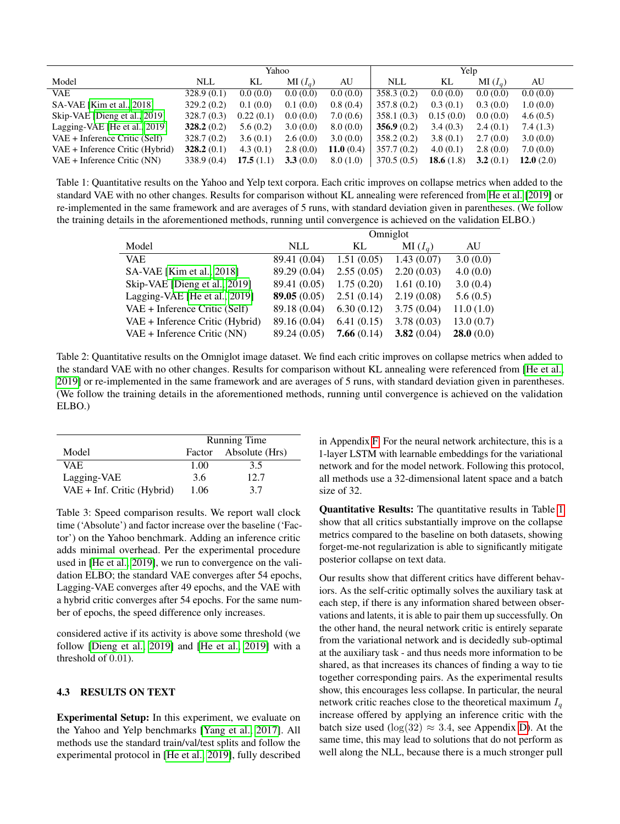<span id="page-5-0"></span>

|                                 | Yahoo       |           | Yelp      |              |            |              |           |              |
|---------------------------------|-------------|-----------|-----------|--------------|------------|--------------|-----------|--------------|
| Model                           | NLL         | KL        | $MI(I_a)$ | AU           | NLL        | KL           | $MI(I_a)$ | AU           |
| <b>VAE</b>                      | 328.9(0.1)  | 0.0(0.0)  | 0.0(0.0)  | 0.0(0.0)     | 358.3(0.2) | 0.0(0.0)     | 0.0(0.0)  | 0.0(0.0)     |
| SA-VAE [Kim et al., 2018]       | 329.2(0.2)  | 0.1(0.0)  | 0.1(0.0)  | 0.8(0.4)     | 357.8(0.2) | 0.3(0.1)     | 0.3(0.0)  | 1.0(0.0)     |
| Skip-VAE [Dieng et al., 2019]   | 328.7(0.3)  | 0.22(0.1) | 0.0(0.0)  | 7.0(0.6)     | 358.1(0.3) | 0.15(0.0)    | 0.0(0.0)  | 4.6(0.5)     |
| Lagging-VAE [He et al., 2019]   | 328.2(0.2)  | 5.6(0.2)  | 3.0(0.0)  | 8.0(0.0)     | 356.9(0.2) | 3.4(0.3)     | 2.4(0.1)  | 7.4(1.3)     |
| VAE + Inference Critic (Self)   | 328.7(0.2)  | 3.6(0.1)  | 2.6(0.0)  | 3.0(0.0)     | 358.2(0.2) | 3.8(0.1)     | 2.7(0.0)  | 3.0(0.0)     |
| VAE + Inference Critic (Hybrid) | 328.2(0.1)  | 4.3(0.1)  | 2.8(0.0)  | 11.0 $(0.4)$ | 357.7(0.2) | 4.0(0.1)     | 2.8(0.0)  | 7.0(0.0)     |
| $VAE + Inference Critic (NN)$   | 338.9 (0.4) | 17.5(1.1) | 3.3(0.0)  | 8.0(1.0)     | 370.5(0.5) | 18.6 $(1.8)$ | 3.2(0.1)  | 12.0 $(2.0)$ |

Table 1: Quantitative results on the Yahoo and Yelp text corpora. Each critic improves on collapse metrics when added to the standard VAE with no other changes. Results for comparison without KL annealing were referenced from [He et al.](#page-8-6) [\[2019\]](#page-8-6) or re-implemented in the same framework and are averages of 5 runs, with standard deviation given in parentheses. (We follow the training details in the aforementioned methods, running until convergence is achieved on the validation ELBO.)

|                                 | Omniglot     |            |            |           |  |
|---------------------------------|--------------|------------|------------|-----------|--|
| Model                           | <b>NLL</b>   | KL         | $MI(I_q)$  | AU        |  |
| <b>VAE</b>                      | 89.41 (0.04) | 1.51(0.05) | 1.43(0.07) | 3.0(0.0)  |  |
| SA-VAE [Kim et al., 2018]       | 89.29 (0.04) | 2.55(0.05) | 2.20(0.03) | 4.0(0.0)  |  |
| Skip-VAE [Dieng et al., 2019]   | 89.41 (0.05) | 1.75(0.20) | 1.61(0.10) | 3.0(0.4)  |  |
| Lagging-VAE [He et al., 2019]   | 89.05(0.05)  | 2.51(0.14) | 2.19(0.08) | 5.6(0.5)  |  |
| $VAE + Inference Critic (Self)$ | 89.18 (0.04) | 6.30(0.12) | 3.75(0.04) | 11.0(1.0) |  |
| VAE + Inference Critic (Hybrid) | 89.16 (0.04) | 6.41(0.15) | 3.78(0.03) | 13.0(0.7) |  |
| VAE + Inference Critic (NN)     | 89.24 (0.05) | 7.66(0.14) | 3.82(0.04) | 28.0(0.0) |  |

Table 2: Quantitative results on the Omniglot image dataset. We find each critic improves on collapse metrics when added to the standard VAE with no other changes. Results for comparison without KL annealing were referenced from [\[He et al.,](#page-8-6) [2019\]](#page-8-6) or re-implemented in the same framework and are averages of 5 runs, with standard deviation given in parentheses. (We follow the training details in the aforementioned methods, running until convergence is achieved on the validation ELBO.)

<span id="page-5-1"></span>

|                            | <b>Running Time</b> |                       |  |
|----------------------------|---------------------|-----------------------|--|
| Model                      |                     | Factor Absolute (Hrs) |  |
| VAE.                       | 1.00                | 3.5                   |  |
| Lagging-VAE                | 3.6                 | 12.7                  |  |
| VAE + Inf. Critic (Hybrid) | 1.06                | 37                    |  |

Table 3: Speed comparison results. We report wall clock time ('Absolute') and factor increase over the baseline ('Factor') on the Yahoo benchmark. Adding an inference critic adds minimal overhead. Per the experimental procedure used in [\[He et al., 2019\]](#page-8-6), we run to convergence on the validation ELBO; the standard VAE converges after 54 epochs, Lagging-VAE converges after 49 epochs, and the VAE with a hybrid critic converges after 54 epochs. For the same number of epochs, the speed difference only increases.

considered active if its activity is above some threshold (we follow [\[Dieng et al., 2019\]](#page-8-3) and [\[He et al., 2019\]](#page-8-6) with a threshold of 0.01).

### 4.3 RESULTS ON TEXT

Experimental Setup: In this experiment, we evaluate on the Yahoo and Yelp benchmarks [\[Yang et al., 2017\]](#page-10-1). All methods use the standard train/val/test splits and follow the experimental protocol in [\[He et al., 2019\]](#page-8-6), fully described in Appendix [F.](#page-0-0) For the neural network architecture, this is a 1-layer LSTM with learnable embeddings for the variational network and for the model network. Following this protocol, all methods use a 32-dimensional latent space and a batch size of 32.

Quantitative Results: The quantitative results in Table [1](#page-5-0) show that all critics substantially improve on the collapse metrics compared to the baseline on both datasets, showing forget-me-not regularization is able to significantly mitigate posterior collapse on text data.

Our results show that different critics have different behaviors. As the self-critic optimally solves the auxiliary task at each step, if there is any information shared between observations and latents, it is able to pair them up successfully. On the other hand, the neural network critic is entirely separate from the variational network and is decidedly sub-optimal at the auxiliary task - and thus needs more information to be shared, as that increases its chances of finding a way to tie together corresponding pairs. As the experimental results show, this encourages less collapse. In particular, the neural network critic reaches close to the theoretical maximum  $I_q$ increase offered by applying an inference critic with the batch size used ( $log(32) \approx 3.4$ , see Appendix [D\)](#page-0-0). At the same time, this may lead to solutions that do not perform as well along the NLL, because there is a much stronger pull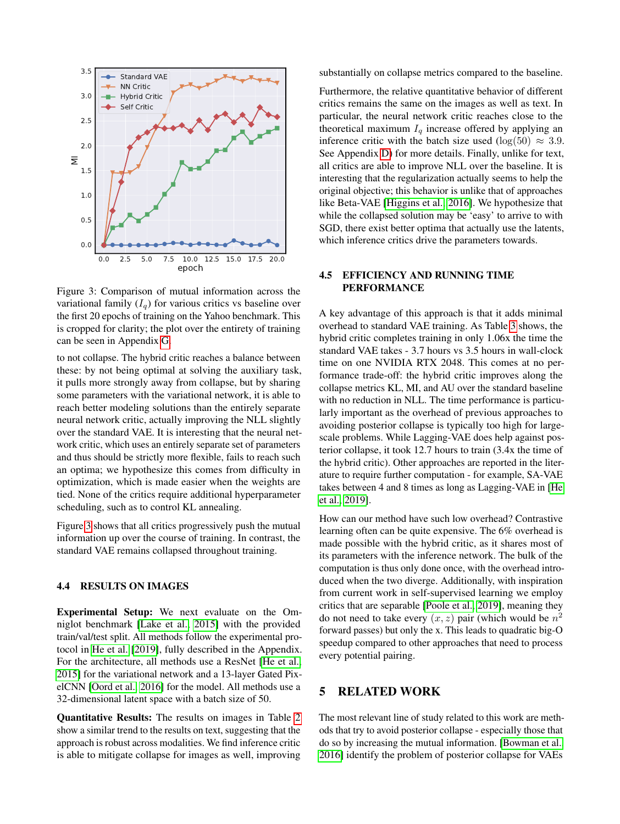<span id="page-6-0"></span>

Figure 3: Comparison of mutual information across the variational family  $(I_q)$  for various critics vs baseline over the first 20 epochs of training on the Yahoo benchmark. This is cropped for clarity; the plot over the entirety of training can be seen in Appendix [G.](#page-0-0)

to not collapse. The hybrid critic reaches a balance between these: by not being optimal at solving the auxiliary task, it pulls more strongly away from collapse, but by sharing some parameters with the variational network, it is able to reach better modeling solutions than the entirely separate neural network critic, actually improving the NLL slightly over the standard VAE. It is interesting that the neural network critic, which uses an entirely separate set of parameters and thus should be strictly more flexible, fails to reach such an optima; we hypothesize this comes from difficulty in optimization, which is made easier when the weights are tied. None of the critics require additional hyperparameter scheduling, such as to control KL annealing.

Figure [3](#page-6-0) shows that all critics progressively push the mutual information up over the course of training. In contrast, the standard VAE remains collapsed throughout training.

### 4.4 RESULTS ON IMAGES

Experimental Setup: We next evaluate on the Omniglot benchmark [\[Lake et al., 2015\]](#page-9-6) with the provided train/val/test split. All methods follow the experimental protocol in [He et al.](#page-8-6) [\[2019\]](#page-8-6), fully described in the Appendix. For the architecture, all methods use a ResNet [\[He et al.,](#page-8-9) [2015\]](#page-8-9) for the variational network and a 13-layer Gated PixelCNN [\[Oord et al., 2016\]](#page-9-1) for the model. All methods use a 32-dimensional latent space with a batch size of 50.

Quantitative Results: The results on images in Table [2](#page-5-0) show a similar trend to the results on text, suggesting that the approach is robust across modalities. We find inference critic is able to mitigate collapse for images as well, improving

substantially on collapse metrics compared to the baseline.

Furthermore, the relative quantitative behavior of different critics remains the same on the images as well as text. In particular, the neural network critic reaches close to the theoretical maximum  $I_q$  increase offered by applying an inference critic with the batch size used (log(50)  $\approx$  3.9. See Appendix [D\)](#page-0-0) for more details. Finally, unlike for text, all critics are able to improve NLL over the baseline. It is interesting that the regularization actually seems to help the original objective; this behavior is unlike that of approaches like Beta-VAE [\[Higgins et al., 2016\]](#page-8-10). We hypothesize that while the collapsed solution may be 'easy' to arrive to with SGD, there exist better optima that actually use the latents, which inference critics drive the parameters towards.

#### 4.5 EFFICIENCY AND RUNNING TIME PERFORMANCE

A key advantage of this approach is that it adds minimal overhead to standard VAE training. As Table [3](#page-5-1) shows, the hybrid critic completes training in only 1.06x the time the standard VAE takes - 3.7 hours vs 3.5 hours in wall-clock time on one NVIDIA RTX 2048. This comes at no performance trade-off: the hybrid critic improves along the collapse metrics KL, MI, and AU over the standard baseline with no reduction in NLL. The time performance is particularly important as the overhead of previous approaches to avoiding posterior collapse is typically too high for largescale problems. While Lagging-VAE does help against posterior collapse, it took 12.7 hours to train (3.4x the time of the hybrid critic). Other approaches are reported in the literature to require further computation - for example, SA-VAE takes between 4 and 8 times as long as Lagging-VAE in [\[He](#page-8-6) [et al., 2019\]](#page-8-6).

How can our method have such low overhead? Contrastive learning often can be quite expensive. The 6% overhead is made possible with the hybrid critic, as it shares most of its parameters with the inference network. The bulk of the computation is thus only done once, with the overhead introduced when the two diverge. Additionally, with inspiration from current work in self-supervised learning we employ critics that are separable [\[Poole et al., 2019\]](#page-9-5), meaning they do not need to take every  $(x, z)$  pair (which would be  $n<sup>2</sup>$ forward passes) but only the x. This leads to quadratic big-O speedup compared to other approaches that need to process every potential pairing.

# 5 RELATED WORK

The most relevant line of study related to this work are methods that try to avoid posterior collapse - especially those that do so by increasing the mutual information. [\[Bowman et al.,](#page-8-1) [2016\]](#page-8-1) identify the problem of posterior collapse for VAEs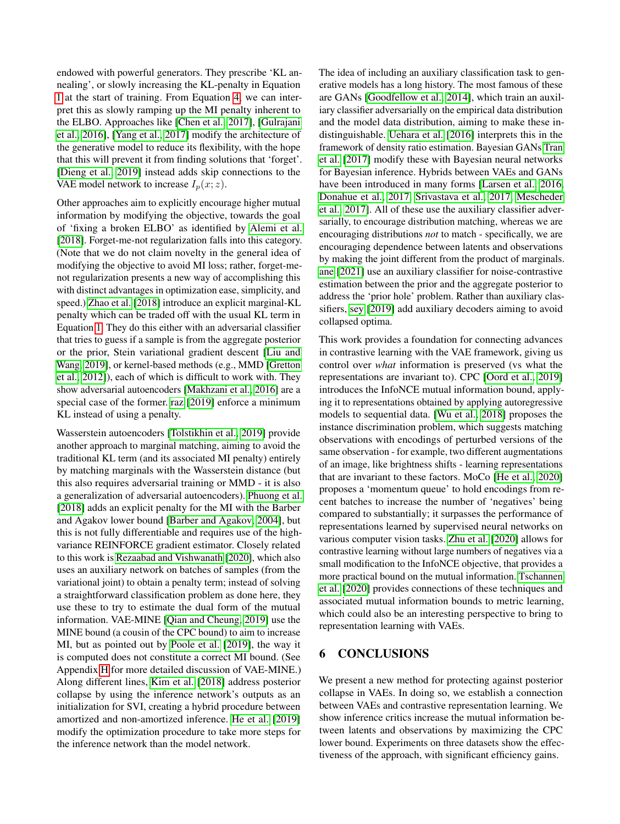endowed with powerful generators. They prescribe 'KL annealing', or slowly increasing the KL-penalty in Equation [1](#page-1-0) at the start of training. From Equation [4,](#page-2-0) we can interpret this as slowly ramping up the MI penalty inherent to the ELBO. Approaches like [\[Chen et al., 2017\]](#page-8-11), [\[Gulrajani](#page-8-12) [et al., 2016\]](#page-8-12), [\[Yang et al., 2017\]](#page-10-1) modify the architecture of the generative model to reduce its flexibility, with the hope that this will prevent it from finding solutions that 'forget'. [\[Dieng et al., 2019\]](#page-8-3) instead adds skip connections to the VAE model network to increase  $I_p(x; z)$ .

Other approaches aim to explicitly encourage higher mutual information by modifying the objective, towards the goal of 'fixing a broken ELBO' as identified by [Alemi et al.](#page-8-4) [\[2018\]](#page-8-4). Forget-me-not regularization falls into this category. (Note that we do not claim novelty in the general idea of modifying the objective to avoid MI loss; rather, forget-menot regularization presents a new way of accomplishing this with distinct advantages in optimization ease, simplicity, and speed.) [Zhao et al.](#page-10-0) [\[2018\]](#page-10-0) introduce an explicit marginal-KL penalty which can be traded off with the usual KL term in Equation [1.](#page-1-0) They do this either with an adversarial classifier that tries to guess if a sample is from the aggregate posterior or the prior, Stein variational gradient descent [\[Liu and](#page-9-7) [Wang, 2019\]](#page-9-7), or kernel-based methods (e.g., MMD [\[Gretton](#page-8-13) [et al., 2012\]](#page-8-13)), each of which is difficult to work with. They show adversarial autoencoders [\[Makhzani et al., 2016\]](#page-9-8) are a special case of the former. [raz](#page-8-14) [\[2019\]](#page-8-14) enforce a minimum KL instead of using a penalty.

Wasserstein autoencoders [\[Tolstikhin et al., 2019\]](#page-9-9) provide another approach to marginal matching, aiming to avoid the traditional KL term (and its associated MI penalty) entirely by matching marginals with the Wasserstein distance (but this also requires adversarial training or MMD - it is also a generalization of adversarial autoencoders). [Phuong et al.](#page-9-10) [\[2018\]](#page-9-10) adds an explicit penalty for the MI with the Barber and Agakov lower bound [\[Barber and Agakov, 2004\]](#page-8-15), but this is not fully differentiable and requires use of the highvariance REINFORCE gradient estimator. Closely related to this work is [Rezaabad and Vishwanath](#page-9-11) [\[2020\]](#page-9-11), which also uses an auxiliary network on batches of samples (from the variational joint) to obtain a penalty term; instead of solving a straightforward classification problem as done here, they use these to try to estimate the dual form of the mutual information. VAE-MINE [\[Qian and Cheung, 2019\]](#page-9-12) use the MINE bound (a cousin of the CPC bound) to aim to increase MI, but as pointed out by [Poole et al.](#page-9-5) [\[2019\]](#page-9-5), the way it is computed does not constitute a correct MI bound. (See Appendix [H](#page-0-0) for more detailed discussion of VAE-MINE.) Along different lines, [Kim et al.](#page-8-8) [\[2018\]](#page-8-8) address posterior collapse by using the inference network's outputs as an initialization for SVI, creating a hybrid procedure between amortized and non-amortized inference. [He et al.](#page-8-6) [\[2019\]](#page-8-6) modify the optimization procedure to take more steps for the inference network than the model network.

The idea of including an auxiliary classification task to generative models has a long history. The most famous of these are GANs [\[Goodfellow et al., 2014\]](#page-8-16), which train an auxiliary classifier adversarially on the empirical data distribution and the model data distribution, aiming to make these indistinguishable. [Uehara et al.](#page-9-13) [\[2016\]](#page-9-13) interprets this in the framework of density ratio estimation. Bayesian GANs [Tran](#page-9-14) [et al.](#page-9-14) [\[2017\]](#page-9-14) modify these with Bayesian neural networks for Bayesian inference. Hybrids between VAEs and GANs have been introduced in many forms [\[Larsen et al., 2016,](#page-9-15) [Donahue et al., 2017,](#page-8-17) [Srivastava et al., 2017,](#page-9-16) [Mescheder](#page-9-17) [et al., 2017\]](#page-9-17). All of these use the auxiliary classifier adversarially, to encourage distribution matching, whereas we are encouraging distributions *not* to match - specifically, we are encouraging dependence between latents and observations by making the joint different from the product of marginals. [ane](#page-8-18) [\[2021\]](#page-8-18) use an auxiliary classifier for noise-contrastive estimation between the prior and the aggregate posterior to address the 'prior hole' problem. Rather than auxiliary classifiers, [sey](#page-8-19) [\[2019\]](#page-8-19) add auxiliary decoders aiming to avoid collapsed optima.

This work provides a foundation for connecting advances in contrastive learning with the VAE framework, giving us control over *what* information is preserved (vs what the representations are invariant to). CPC [\[Oord et al., 2019\]](#page-9-3) introduces the InfoNCE mutual information bound, applying it to representations obtained by applying autoregressive models to sequential data. [\[Wu et al., 2018\]](#page-10-2) proposes the instance discrimination problem, which suggests matching observations with encodings of perturbed versions of the same observation - for example, two different augmentations of an image, like brightness shifts - learning representations that are invariant to these factors. MoCo [\[He et al., 2020\]](#page-8-20) proposes a 'momentum queue' to hold encodings from recent batches to increase the number of 'negatives' being compared to substantially; it surpasses the performance of representations learned by supervised neural networks on various computer vision tasks. [Zhu et al.](#page-10-3) [\[2020\]](#page-10-3) allows for contrastive learning without large numbers of negatives via a small modification to the InfoNCE objective, that provides a more practical bound on the mutual information. [Tschannen](#page-9-18) [et al.](#page-9-18) [\[2020\]](#page-9-18) provides connections of these techniques and associated mutual information bounds to metric learning, which could also be an interesting perspective to bring to representation learning with VAEs.

# 6 CONCLUSIONS

We present a new method for protecting against posterior collapse in VAEs. In doing so, we establish a connection between VAEs and contrastive representation learning. We show inference critics increase the mutual information between latents and observations by maximizing the CPC lower bound. Experiments on three datasets show the effectiveness of the approach, with significant efficiency gains.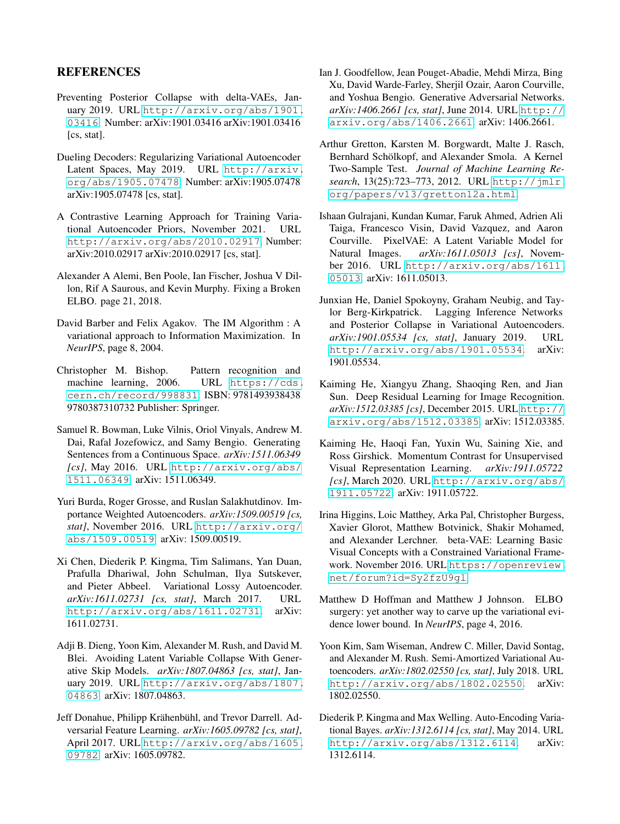# **REFERENCES**

- <span id="page-8-14"></span>Preventing Posterior Collapse with delta-VAEs, January 2019. URL [http://arxiv.org/abs/1901.](http://arxiv.org/abs/1901.03416) [03416](http://arxiv.org/abs/1901.03416). Number: arXiv:1901.03416 arXiv:1901.03416 [cs, stat].
- <span id="page-8-19"></span>Dueling Decoders: Regularizing Variational Autoencoder Latent Spaces, May 2019. URL [http://arxiv.](http://arxiv.org/abs/1905.07478) [org/abs/1905.07478](http://arxiv.org/abs/1905.07478). Number: arXiv:1905.07478 arXiv:1905.07478 [cs, stat].
- <span id="page-8-18"></span>A Contrastive Learning Approach for Training Variational Autoencoder Priors, November 2021. URL <http://arxiv.org/abs/2010.02917>. Number: arXiv:2010.02917 arXiv:2010.02917 [cs, stat].
- <span id="page-8-4"></span>Alexander A Alemi, Ben Poole, Ian Fischer, Joshua V Dillon, Rif A Saurous, and Kevin Murphy. Fixing a Broken ELBO. page 21, 2018.
- <span id="page-8-15"></span>David Barber and Felix Agakov. The IM Algorithm : A variational approach to Information Maximization. In *NeurIPS*, page 8, 2004.
- <span id="page-8-5"></span>Christopher M. Bishop. Pattern recognition and machine learning, 2006. URL [https://cds.](https://cds.cern.ch/record/998831) [cern.ch/record/998831](https://cds.cern.ch/record/998831). ISBN: 9781493938438 9780387310732 Publisher: Springer.
- <span id="page-8-1"></span>Samuel R. Bowman, Luke Vilnis, Oriol Vinyals, Andrew M. Dai, Rafal Jozefowicz, and Samy Bengio. Generating Sentences from a Continuous Space. *arXiv:1511.06349 [cs]*, May 2016. URL [http://arxiv.org/abs/](http://arxiv.org/abs/1511.06349) [1511.06349](http://arxiv.org/abs/1511.06349). arXiv: 1511.06349.
- <span id="page-8-7"></span>Yuri Burda, Roger Grosse, and Ruslan Salakhutdinov. Importance Weighted Autoencoders. *arXiv:1509.00519 [cs, stat]*, November 2016. URL [http://arxiv.org/](http://arxiv.org/abs/1509.00519) [abs/1509.00519](http://arxiv.org/abs/1509.00519). arXiv: 1509.00519.
- <span id="page-8-11"></span>Xi Chen, Diederik P. Kingma, Tim Salimans, Yan Duan, Prafulla Dhariwal, John Schulman, Ilya Sutskever, and Pieter Abbeel. Variational Lossy Autoencoder. *arXiv:1611.02731 [cs, stat]*, March 2017. URL <http://arxiv.org/abs/1611.02731>. arXiv: 1611.02731.
- <span id="page-8-3"></span>Adji B. Dieng, Yoon Kim, Alexander M. Rush, and David M. Blei. Avoiding Latent Variable Collapse With Generative Skip Models. *arXiv:1807.04863 [cs, stat]*, January 2019. URL [http://arxiv.org/abs/1807.](http://arxiv.org/abs/1807.04863) [04863](http://arxiv.org/abs/1807.04863). arXiv: 1807.04863.
- <span id="page-8-17"></span>Jeff Donahue, Philipp Krähenbühl, and Trevor Darrell. Adversarial Feature Learning. *arXiv:1605.09782 [cs, stat]*, April 2017. URL [http://arxiv.org/abs/1605.](http://arxiv.org/abs/1605.09782) [09782](http://arxiv.org/abs/1605.09782). arXiv: 1605.09782.
- <span id="page-8-16"></span>Ian J. Goodfellow, Jean Pouget-Abadie, Mehdi Mirza, Bing Xu, David Warde-Farley, Sherjil Ozair, Aaron Courville, and Yoshua Bengio. Generative Adversarial Networks. *arXiv:1406.2661 [cs, stat]*, June 2014. URL [http://](http://arxiv.org/abs/1406.2661) [arxiv.org/abs/1406.2661](http://arxiv.org/abs/1406.2661). arXiv: 1406.2661.
- <span id="page-8-13"></span>Arthur Gretton, Karsten M. Borgwardt, Malte J. Rasch, Bernhard Schölkopf, and Alexander Smola. A Kernel Two-Sample Test. *Journal of Machine Learning Research*, 13(25):723–773, 2012. URL [http://jmlr.](http://jmlr.org/papers/v13/gretton12a.html) [org/papers/v13/gretton12a.html](http://jmlr.org/papers/v13/gretton12a.html).
- <span id="page-8-12"></span>Ishaan Gulrajani, Kundan Kumar, Faruk Ahmed, Adrien Ali Taiga, Francesco Visin, David Vazquez, and Aaron Courville. PixelVAE: A Latent Variable Model for Natural Images. *arXiv:1611.05013 [cs]*, November 2016. URL [http://arxiv.org/abs/1611.](http://arxiv.org/abs/1611.05013) [05013](http://arxiv.org/abs/1611.05013). arXiv: 1611.05013.
- <span id="page-8-6"></span>Junxian He, Daniel Spokoyny, Graham Neubig, and Taylor Berg-Kirkpatrick. Lagging Inference Networks and Posterior Collapse in Variational Autoencoders. *arXiv:1901.05534 [cs, stat]*, January 2019. URL <http://arxiv.org/abs/1901.05534>. arXiv: 1901.05534.
- <span id="page-8-9"></span>Kaiming He, Xiangyu Zhang, Shaoqing Ren, and Jian Sun. Deep Residual Learning for Image Recognition. *arXiv:1512.03385 [cs]*, December 2015. URL [http://](http://arxiv.org/abs/1512.03385) [arxiv.org/abs/1512.03385](http://arxiv.org/abs/1512.03385). arXiv: 1512.03385.
- <span id="page-8-20"></span>Kaiming He, Haoqi Fan, Yuxin Wu, Saining Xie, and Ross Girshick. Momentum Contrast for Unsupervised Visual Representation Learning. *arXiv:1911.05722 [cs]*, March 2020. URL [http://arxiv.org/abs/](http://arxiv.org/abs/1911.05722) [1911.05722](http://arxiv.org/abs/1911.05722). arXiv: 1911.05722.
- <span id="page-8-10"></span>Irina Higgins, Loic Matthey, Arka Pal, Christopher Burgess, Xavier Glorot, Matthew Botvinick, Shakir Mohamed, and Alexander Lerchner. beta-VAE: Learning Basic Visual Concepts with a Constrained Variational Framework. November 2016. URL [https://openreview.](https://openreview.net/forum?id=Sy2fzU9gl) [net/forum?id=Sy2fzU9gl](https://openreview.net/forum?id=Sy2fzU9gl).
- <span id="page-8-2"></span>Matthew D Hoffman and Matthew J Johnson. ELBO surgery: yet another way to carve up the variational evidence lower bound. In *NeurIPS*, page 4, 2016.
- <span id="page-8-8"></span>Yoon Kim, Sam Wiseman, Andrew C. Miller, David Sontag, and Alexander M. Rush. Semi-Amortized Variational Autoencoders. *arXiv:1802.02550 [cs, stat]*, July 2018. URL <http://arxiv.org/abs/1802.02550>. arXiv: 1802.02550.
- <span id="page-8-0"></span>Diederik P. Kingma and Max Welling. Auto-Encoding Variational Bayes. *arXiv:1312.6114 [cs, stat]*, May 2014. URL <http://arxiv.org/abs/1312.6114>. arXiv: 1312.6114.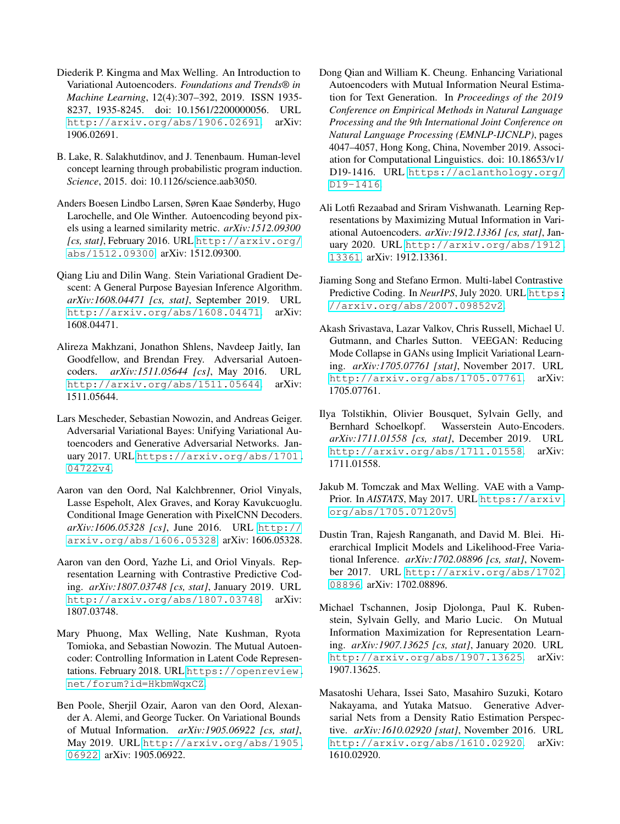- <span id="page-9-0"></span>Diederik P. Kingma and Max Welling. An Introduction to Variational Autoencoders. *Foundations and Trends® in Machine Learning*, 12(4):307–392, 2019. ISSN 1935- 8237, 1935-8245. doi: 10.1561/2200000056. URL <http://arxiv.org/abs/1906.02691>. arXiv: 1906.02691.
- <span id="page-9-6"></span>B. Lake, R. Salakhutdinov, and J. Tenenbaum. Human-level concept learning through probabilistic program induction. *Science*, 2015. doi: 10.1126/science.aab3050.
- <span id="page-9-15"></span>Anders Boesen Lindbo Larsen, Søren Kaae Sønderby, Hugo Larochelle, and Ole Winther. Autoencoding beyond pixels using a learned similarity metric. *arXiv:1512.09300 [cs, stat]*, February 2016. URL [http://arxiv.org/](http://arxiv.org/abs/1512.09300) [abs/1512.09300](http://arxiv.org/abs/1512.09300). arXiv: 1512.09300.
- <span id="page-9-7"></span>Qiang Liu and Dilin Wang. Stein Variational Gradient Descent: A General Purpose Bayesian Inference Algorithm. *arXiv:1608.04471 [cs, stat]*, September 2019. URL <http://arxiv.org/abs/1608.04471>. arXiv: 1608.04471.
- <span id="page-9-8"></span>Alireza Makhzani, Jonathon Shlens, Navdeep Jaitly, Ian Goodfellow, and Brendan Frey. Adversarial Autoencoders. *arXiv:1511.05644 [cs]*, May 2016. URL <http://arxiv.org/abs/1511.05644>. arXiv: 1511.05644.
- <span id="page-9-17"></span>Lars Mescheder, Sebastian Nowozin, and Andreas Geiger. Adversarial Variational Bayes: Unifying Variational Autoencoders and Generative Adversarial Networks. January 2017. URL [https://arxiv.org/abs/1701.](https://arxiv.org/abs/1701.04722v4) [04722v4](https://arxiv.org/abs/1701.04722v4).
- <span id="page-9-1"></span>Aaron van den Oord, Nal Kalchbrenner, Oriol Vinyals, Lasse Espeholt, Alex Graves, and Koray Kavukcuoglu. Conditional Image Generation with PixelCNN Decoders. *arXiv:1606.05328 [cs]*, June 2016. URL [http://](http://arxiv.org/abs/1606.05328) [arxiv.org/abs/1606.05328](http://arxiv.org/abs/1606.05328). arXiv: 1606.05328.
- <span id="page-9-3"></span>Aaron van den Oord, Yazhe Li, and Oriol Vinyals. Representation Learning with Contrastive Predictive Coding. *arXiv:1807.03748 [cs, stat]*, January 2019. URL <http://arxiv.org/abs/1807.03748>. arXiv: 1807.03748.
- <span id="page-9-10"></span>Mary Phuong, Max Welling, Nate Kushman, Ryota Tomioka, and Sebastian Nowozin. The Mutual Autoencoder: Controlling Information in Latent Code Representations. February 2018. URL [https://openreview.](https://openreview.net/forum?id=HkbmWqxCZ) [net/forum?id=HkbmWqxCZ](https://openreview.net/forum?id=HkbmWqxCZ).
- <span id="page-9-5"></span>Ben Poole, Sherjil Ozair, Aaron van den Oord, Alexander A. Alemi, and George Tucker. On Variational Bounds of Mutual Information. *arXiv:1905.06922 [cs, stat]*, May 2019. URL [http://arxiv.org/abs/1905.](http://arxiv.org/abs/1905.06922) [06922](http://arxiv.org/abs/1905.06922). arXiv: 1905.06922.
- <span id="page-9-12"></span>Dong Qian and William K. Cheung. Enhancing Variational Autoencoders with Mutual Information Neural Estimation for Text Generation. In *Proceedings of the 2019 Conference on Empirical Methods in Natural Language Processing and the 9th International Joint Conference on Natural Language Processing (EMNLP-IJCNLP)*, pages 4047–4057, Hong Kong, China, November 2019. Association for Computational Linguistics. doi: 10.18653/v1/ D19-1416. URL [https://aclanthology.org/](https://aclanthology.org/D19-1416) [D19-1416](https://aclanthology.org/D19-1416).
- <span id="page-9-11"></span>Ali Lotfi Rezaabad and Sriram Vishwanath. Learning Representations by Maximizing Mutual Information in Variational Autoencoders. *arXiv:1912.13361 [cs, stat]*, January 2020. URL [http://arxiv.org/abs/1912.](http://arxiv.org/abs/1912.13361) [13361](http://arxiv.org/abs/1912.13361). arXiv: 1912.13361.
- <span id="page-9-4"></span>Jiaming Song and Stefano Ermon. Multi-label Contrastive Predictive Coding. In *NeurIPS*, July 2020. URL [https:](https://arxiv.org/abs/2007.09852v2) [//arxiv.org/abs/2007.09852v2](https://arxiv.org/abs/2007.09852v2).
- <span id="page-9-16"></span>Akash Srivastava, Lazar Valkov, Chris Russell, Michael U. Gutmann, and Charles Sutton. VEEGAN: Reducing Mode Collapse in GANs using Implicit Variational Learning. *arXiv:1705.07761 [stat]*, November 2017. URL <http://arxiv.org/abs/1705.07761>. arXiv: 1705.07761.
- <span id="page-9-9"></span>Ilya Tolstikhin, Olivier Bousquet, Sylvain Gelly, and Bernhard Schoelkopf. Wasserstein Auto-Encoders. *arXiv:1711.01558 [cs, stat]*, December 2019. URL <http://arxiv.org/abs/1711.01558>. arXiv: 1711.01558.
- <span id="page-9-2"></span>Jakub M. Tomczak and Max Welling. VAE with a Vamp-Prior. In *AISTATS*, May 2017. URL [https://arxiv.](https://arxiv.org/abs/1705.07120v5) [org/abs/1705.07120v5](https://arxiv.org/abs/1705.07120v5).
- <span id="page-9-14"></span>Dustin Tran, Rajesh Ranganath, and David M. Blei. Hierarchical Implicit Models and Likelihood-Free Variational Inference. *arXiv:1702.08896 [cs, stat]*, November 2017. URL [http://arxiv.org/abs/1702.](http://arxiv.org/abs/1702.08896) [08896](http://arxiv.org/abs/1702.08896). arXiv: 1702.08896.
- <span id="page-9-18"></span>Michael Tschannen, Josip Djolonga, Paul K. Rubenstein, Sylvain Gelly, and Mario Lucic. On Mutual Information Maximization for Representation Learning. *arXiv:1907.13625 [cs, stat]*, January 2020. URL <http://arxiv.org/abs/1907.13625>. arXiv: 1907.13625.
- <span id="page-9-13"></span>Masatoshi Uehara, Issei Sato, Masahiro Suzuki, Kotaro Nakayama, and Yutaka Matsuo. Generative Adversarial Nets from a Density Ratio Estimation Perspective. *arXiv:1610.02920 [stat]*, November 2016. URL <http://arxiv.org/abs/1610.02920>. arXiv: 1610.02920.